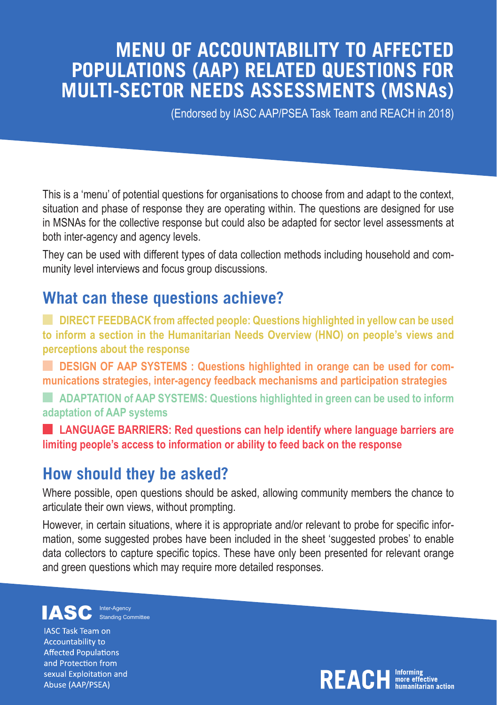### **MENU OF ACCOUNTABILITY TO AFFECTED POPULATIONS (AAP) RELATED QUESTIONS FOR MULTI-SECTOR NEEDS ASSESSMENTS (MSNAs)**

(Endorsed by IASC AAP/PSEA Task Team and REACH in 2018)

This is a 'menu' of potential questions for organisations to choose from and adapt to the context, situation and phase of response they are operating within. The questions are designed for use in MSNAs for the collective response but could also be adapted for sector level assessments at both inter-agency and agency levels.

They can be used with different types of data collection methods including household and community level interviews and focus group discussions.

#### **What can these questions achieve?**

**DIRECT FEEDBACK from affected people: Questions highlighted in yellow can be used to inform a section in the Humanitarian Needs Overview (HNO) on people's views and perceptions about the response**

**DESIGN OF AAP SYSTEMS : Questions highlighted in orange can be used for communications strategies, inter-agency feedback mechanisms and participation strategies**

**ADAPTATION of AAP SYSTEMS: Questions highlighted in green can be used to inform adaptation of AAP systems** 

**LANGUAGE BARRIERS: Red questions can help identify where language barriers are limiting people's access to information or ability to feed back on the response**

#### **How should they be asked?**

Where possible, open questions should be asked, allowing community members the chance to articulate their own views, without prompting.

However, in certain situations, where it is appropriate and/or relevant to probe for specific information, some suggested probes have been included in the sheet 'suggested probes' to enable data collectors to capture specific topics. These have only been presented for relevant orange and green questions which may require more detailed responses.

Inter-Agency IASC Inter-Agenc Standing Committee

**IASC Task Team on Accountability to Affected Populations** and Protection from sexual Exploitation and Abuse (AAP/PSEA)

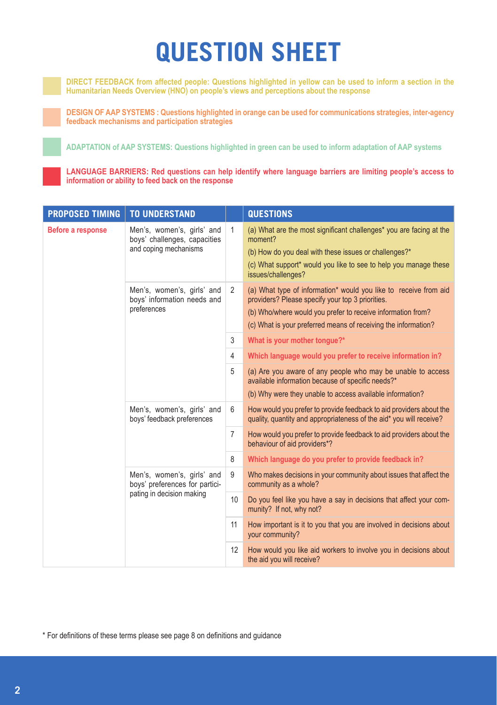## **QUESTION SHEET**

**DIRECT FEEDBACK from affected people: Questions highlighted in yellow can be used to inform a section in the Humanitarian Needs Overview (HNO) on people's views and perceptions about the response**

**DESIGN OF AAP SYSTEMS : Questions highlighted in orange can be used for communications strategies, inter-agency feedback mechanisms and participation strategies**

**ADAPTATION of AAP SYSTEMS: Questions highlighted in green can be used to inform adaptation of AAP systems**

**LANGUAGE BARRIERS: Red questions can help identify where language barriers are limiting people's access to information or ability to feed back on the response**

| <b>PROPOSED TIMING</b> | <b>TO UNDERSTAND</b>                                                                      |                | <b>QUESTIONS</b>                                                                                                                                                                    |
|------------------------|-------------------------------------------------------------------------------------------|----------------|-------------------------------------------------------------------------------------------------------------------------------------------------------------------------------------|
| Before a response      | Men's, women's, girls' and<br>boys' challenges, capacities<br>and coping mechanisms       | $\mathbf{1}$   | (a) What are the most significant challenges* you are facing at the<br>moment?<br>(b) How do you deal with these issues or challenges?*                                             |
|                        |                                                                                           |                | (c) What support* would you like to see to help you manage these<br>issues/challenges?                                                                                              |
|                        | Men's, women's, girls' and<br>boys' information needs and<br>preferences                  | $\overline{2}$ | (a) What type of information* would you like to receive from aid<br>providers? Please specify your top 3 priorities.<br>(b) Who/where would you prefer to receive information from? |
|                        |                                                                                           |                | (c) What is your preferred means of receiving the information?                                                                                                                      |
|                        |                                                                                           | 3              | What is your mother tongue?*                                                                                                                                                        |
|                        |                                                                                           | 4              | Which language would you prefer to receive information in?                                                                                                                          |
|                        |                                                                                           | 5              | (a) Are you aware of any people who may be unable to access<br>available information because of specific needs?*                                                                    |
|                        |                                                                                           |                | (b) Why were they unable to access available information?                                                                                                                           |
|                        | Men's, women's, girls' and<br>boys' feedback preferences                                  | 6              | How would you prefer to provide feedback to aid providers about the<br>quality, quantity and appropriateness of the aid* you will receive?                                          |
|                        |                                                                                           | $\overline{7}$ | How would you prefer to provide feedback to aid providers about the<br>behaviour of aid providers*?                                                                                 |
|                        |                                                                                           | 8              | Which language do you prefer to provide feedback in?                                                                                                                                |
|                        | Men's, women's, girls' and<br>boys' preferences for partici-<br>pating in decision making | 9              | Who makes decisions in your community about issues that affect the<br>community as a whole?                                                                                         |
|                        |                                                                                           | 10             | Do you feel like you have a say in decisions that affect your com-<br>munity? If not, why not?                                                                                      |
|                        |                                                                                           | 11             | How important is it to you that you are involved in decisions about<br>your community?                                                                                              |
|                        |                                                                                           | 12             | How would you like aid workers to involve you in decisions about<br>the aid you will receive?                                                                                       |

\* For definitions of these terms please see page 8 on definitions and guidance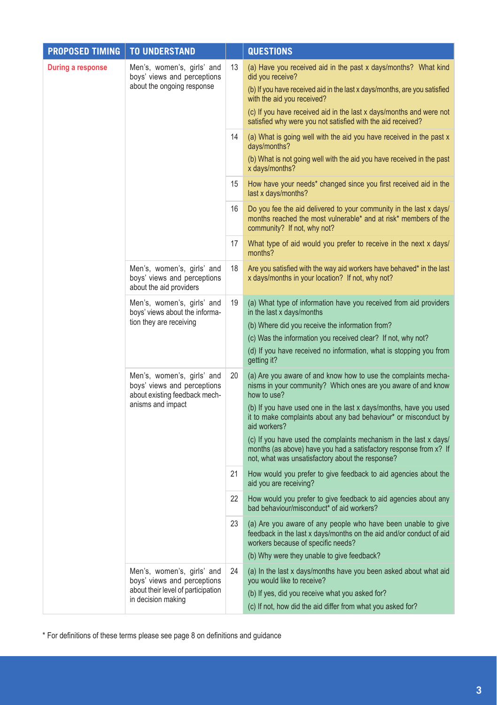| <b>PROPOSED TIMING</b> | <b>TO UNDERSTAND</b>                                                                                                  |                                                              | <b>QUESTIONS</b>                                                                                                                                                                           |
|------------------------|-----------------------------------------------------------------------------------------------------------------------|--------------------------------------------------------------|--------------------------------------------------------------------------------------------------------------------------------------------------------------------------------------------|
| During a response      | Men's, women's, girls' and<br>boys' views and perceptions<br>about the ongoing response                               | 13                                                           | (a) Have you received aid in the past x days/months? What kind<br>did you receive?                                                                                                         |
|                        |                                                                                                                       |                                                              | (b) If you have received aid in the last x days/months, are you satisfied<br>with the aid you received?                                                                                    |
|                        |                                                                                                                       |                                                              | (c) If you have received aid in the last x days/months and were not<br>satisfied why were you not satisfied with the aid received?                                                         |
|                        |                                                                                                                       | 14                                                           | (a) What is going well with the aid you have received in the past x<br>days/months?                                                                                                        |
|                        |                                                                                                                       |                                                              | (b) What is not going well with the aid you have received in the past<br>x days/months?                                                                                                    |
|                        |                                                                                                                       | 15                                                           | How have your needs* changed since you first received aid in the<br>last x days/months?                                                                                                    |
|                        |                                                                                                                       | 16                                                           | Do you fee the aid delivered to your community in the last x days/<br>months reached the most vulnerable* and at risk* members of the<br>community? If not, why not?                       |
|                        |                                                                                                                       | 17                                                           | What type of aid would you prefer to receive in the next x days/<br>months?                                                                                                                |
|                        | Men's, women's, girls' and<br>boys' views and perceptions<br>about the aid providers                                  | 18                                                           | Are you satisfied with the way aid workers have behaved* in the last<br>x days/months in your location? If not, why not?                                                                   |
|                        | Men's, women's, girls' and<br>boys' views about the informa-<br>tion they are receiving                               | 19                                                           | (a) What type of information have you received from aid providers<br>in the last x days/months                                                                                             |
|                        |                                                                                                                       |                                                              | (b) Where did you receive the information from?                                                                                                                                            |
|                        |                                                                                                                       | (c) Was the information you received clear? If not, why not? |                                                                                                                                                                                            |
|                        |                                                                                                                       |                                                              | (d) If you have received no information, what is stopping you from<br>getting it?                                                                                                          |
|                        | Men's, women's, girls' and<br>boys' views and perceptions<br>about existing feedback mech-<br>anisms and impact       | 20                                                           | (a) Are you aware of and know how to use the complaints mecha-<br>nisms in your community? Which ones are you aware of and know<br>how to use?                                             |
|                        |                                                                                                                       |                                                              | (b) If you have used one in the last x days/months, have you used<br>it to make complaints about any bad behaviour* or misconduct by<br>aid workers?                                       |
|                        |                                                                                                                       |                                                              | (c) If you have used the complaints mechanism in the last x days/<br>months (as above) have you had a satisfactory response from x? If<br>not, what was unsatisfactory about the response? |
|                        |                                                                                                                       | 21                                                           | How would you prefer to give feedback to aid agencies about the<br>aid you are receiving?                                                                                                  |
|                        |                                                                                                                       | 22                                                           | How would you prefer to give feedback to aid agencies about any<br>bad behaviour/misconduct* of aid workers?                                                                               |
|                        |                                                                                                                       | 23                                                           | (a) Are you aware of any people who have been unable to give<br>feedback in the last x days/months on the aid and/or conduct of aid<br>workers because of specific needs?                  |
|                        |                                                                                                                       |                                                              | (b) Why were they unable to give feedback?                                                                                                                                                 |
|                        | Men's, women's, girls' and<br>boys' views and perceptions<br>about their level of participation<br>in decision making | 24                                                           | (a) In the last x days/months have you been asked about what aid<br>you would like to receive?                                                                                             |
|                        |                                                                                                                       |                                                              | (b) If yes, did you receive what you asked for?                                                                                                                                            |
|                        |                                                                                                                       |                                                              | (c) If not, how did the aid differ from what you asked for?                                                                                                                                |

\* For definitions of these terms please see page 8 on definitions and guidance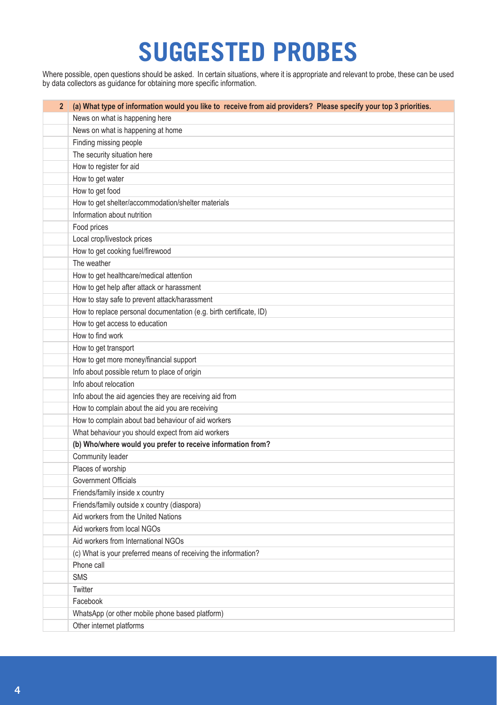# **SUGGESTED PROBES**

Where possible, open questions should be asked. In certain situations, where it is appropriate and relevant to probe, these can be used by data collectors as guidance for obtaining more specific information.

| 2 (a) What type of information would you like to receive from aid providers? Please specify your top 3 priorities. |
|--------------------------------------------------------------------------------------------------------------------|
| News on what is happening here                                                                                     |
| News on what is happening at home                                                                                  |
| Finding missing people                                                                                             |
| The security situation here                                                                                        |
| How to register for aid                                                                                            |
| How to get water                                                                                                   |
| How to get food                                                                                                    |
| How to get shelter/accommodation/shelter materials                                                                 |
| Information about nutrition                                                                                        |
| Food prices                                                                                                        |
| Local crop/livestock prices                                                                                        |
| How to get cooking fuel/firewood                                                                                   |
| The weather                                                                                                        |
| How to get healthcare/medical attention                                                                            |
| How to get help after attack or harassment                                                                         |
| How to stay safe to prevent attack/harassment                                                                      |
| How to replace personal documentation (e.g. birth certificate, ID)                                                 |
| How to get access to education                                                                                     |
| How to find work                                                                                                   |
| How to get transport                                                                                               |
| How to get more money/financial support                                                                            |
| Info about possible return to place of origin                                                                      |
| Info about relocation                                                                                              |
| Info about the aid agencies they are receiving aid from                                                            |
| How to complain about the aid you are receiving                                                                    |
| How to complain about bad behaviour of aid workers                                                                 |
| What behaviour you should expect from aid workers                                                                  |
| (b) Who/where would you prefer to receive information from?                                                        |
| Community leader                                                                                                   |
| Places of worship                                                                                                  |
| <b>Government Officials</b>                                                                                        |
| Friends/family inside x country                                                                                    |
| Friends/family outside x country (diaspora)                                                                        |
| Aid workers from the United Nations                                                                                |
| Aid workers from local NGOs                                                                                        |
| Aid workers from International NGOs                                                                                |
| (c) What is your preferred means of receiving the information?                                                     |
| Phone call                                                                                                         |
| <b>SMS</b>                                                                                                         |
| Twitter                                                                                                            |
| Facebook                                                                                                           |
| WhatsApp (or other mobile phone based platform)                                                                    |
| Other internet platforms                                                                                           |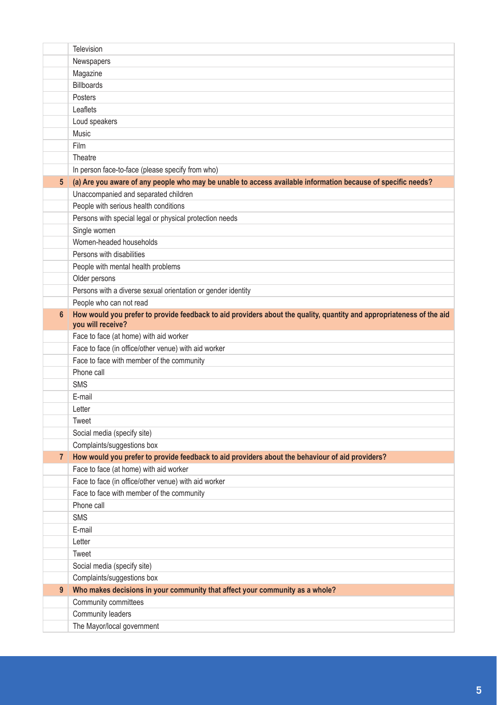|                | Television                                                                                                                                |
|----------------|-------------------------------------------------------------------------------------------------------------------------------------------|
|                | Newspapers                                                                                                                                |
|                | Magazine                                                                                                                                  |
|                | <b>Billboards</b>                                                                                                                         |
|                | Posters                                                                                                                                   |
|                | Leaflets                                                                                                                                  |
|                | Loud speakers                                                                                                                             |
|                | Music                                                                                                                                     |
|                | <b>Film</b>                                                                                                                               |
|                | Theatre                                                                                                                                   |
|                | In person face-to-face (please specify from who)                                                                                          |
| 5 <sup>1</sup> | (a) Are you aware of any people who may be unable to access available information because of specific needs?                              |
|                | Unaccompanied and separated children                                                                                                      |
|                | People with serious health conditions                                                                                                     |
|                | Persons with special legal or physical protection needs                                                                                   |
|                | Single women                                                                                                                              |
|                | Women-headed households                                                                                                                   |
|                | Persons with disabilities                                                                                                                 |
|                | People with mental health problems                                                                                                        |
|                | Older persons                                                                                                                             |
|                | Persons with a diverse sexual orientation or gender identity                                                                              |
|                | People who can not read                                                                                                                   |
| 6 <sup>1</sup> | How would you prefer to provide feedback to aid providers about the quality, quantity and appropriateness of the aid<br>you will receive? |
|                | Face to face (at home) with aid worker                                                                                                    |
|                | Face to face (in office/other venue) with aid worker                                                                                      |
|                | Face to face with member of the community                                                                                                 |
|                | Phone call                                                                                                                                |
|                | <b>SMS</b>                                                                                                                                |
|                | E-mail                                                                                                                                    |
|                | Letter                                                                                                                                    |
|                | Tweet                                                                                                                                     |
|                | Social media (specify site)                                                                                                               |
|                | Complaints/suggestions box                                                                                                                |
| 7 <sup>1</sup> | How would you prefer to provide feedback to aid providers about the behaviour of aid providers?                                           |
|                | Face to face (at home) with aid worker                                                                                                    |
|                | Face to face (in office/other venue) with aid worker                                                                                      |
|                | Face to face with member of the community<br>Phone call                                                                                   |
|                | <b>SMS</b>                                                                                                                                |
|                | E-mail                                                                                                                                    |
|                | Letter                                                                                                                                    |
|                | Tweet                                                                                                                                     |
|                | Social media (specify site)                                                                                                               |
|                | Complaints/suggestions box                                                                                                                |
| 9              | Who makes decisions in your community that affect your community as a whole?                                                              |
|                | Community committees                                                                                                                      |
|                | Community leaders                                                                                                                         |
|                | The Mayor/local government                                                                                                                |
|                |                                                                                                                                           |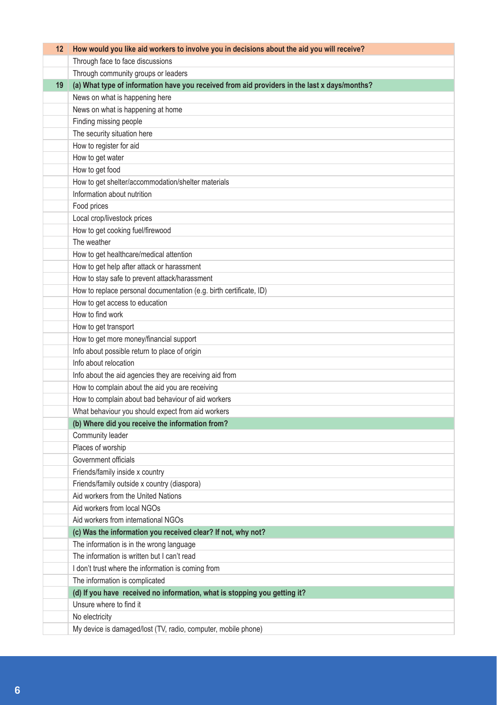| $12 \,$ | How would you like aid workers to involve you in decisions about the aid you will receive?   |
|---------|----------------------------------------------------------------------------------------------|
|         | Through face to face discussions                                                             |
|         | Through community groups or leaders                                                          |
| 19      | (a) What type of information have you received from aid providers in the last x days/months? |
|         | News on what is happening here                                                               |
|         | News on what is happening at home                                                            |
|         | Finding missing people                                                                       |
|         | The security situation here                                                                  |
|         | How to register for aid                                                                      |
|         | How to get water                                                                             |
|         | How to get food                                                                              |
|         | How to get shelter/accommodation/shelter materials                                           |
|         | Information about nutrition                                                                  |
|         | Food prices                                                                                  |
|         | Local crop/livestock prices                                                                  |
|         | How to get cooking fuel/firewood                                                             |
|         | The weather                                                                                  |
|         | How to get healthcare/medical attention                                                      |
|         | How to get help after attack or harassment                                                   |
|         | How to stay safe to prevent attack/harassment                                                |
|         | How to replace personal documentation (e.g. birth certificate, ID)                           |
|         | How to get access to education                                                               |
|         | How to find work                                                                             |
|         | How to get transport                                                                         |
|         | How to get more money/financial support                                                      |
|         | Info about possible return to place of origin                                                |
|         | Info about relocation                                                                        |
|         | Info about the aid agencies they are receiving aid from                                      |
|         | How to complain about the aid you are receiving                                              |
|         | How to complain about bad behaviour of aid workers                                           |
|         | What behaviour you should expect from aid workers                                            |
|         | (b) Where did you receive the information from?                                              |
|         | Community leader                                                                             |
|         | Places of worship                                                                            |
|         | Government officials                                                                         |
|         | Friends/family inside x country                                                              |
|         | Friends/family outside x country (diaspora)                                                  |
|         | Aid workers from the United Nations                                                          |
|         | Aid workers from local NGOs                                                                  |
|         | Aid workers from international NGOs                                                          |
|         | (c) Was the information you received clear? If not, why not?                                 |
|         | The information is in the wrong language                                                     |
|         | The information is written but I can't read                                                  |
|         | I don't trust where the information is coming from                                           |
|         | The information is complicated                                                               |
|         | (d) If you have received no information, what is stopping you getting it?                    |
|         | Unsure where to find it                                                                      |
|         | No electricity                                                                               |
|         | My device is damaged/lost (TV, radio, computer, mobile phone)                                |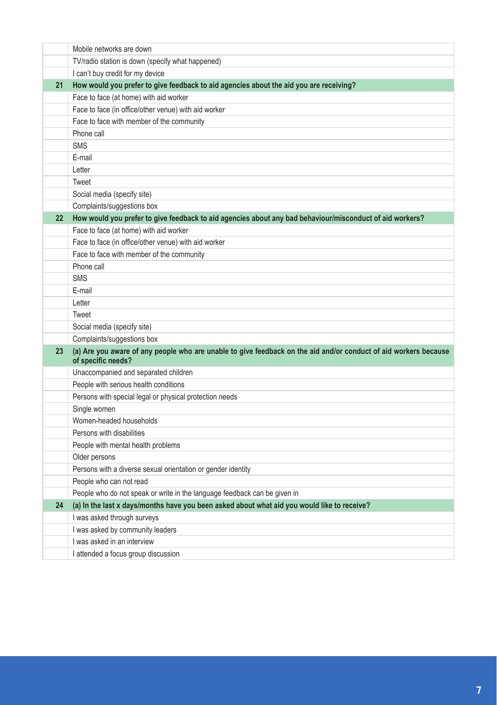|                 | Mobile networks are down                                                                                                               |
|-----------------|----------------------------------------------------------------------------------------------------------------------------------------|
|                 | TV/radio station is down (specify what happened)                                                                                       |
|                 | I can't buy credit for my device                                                                                                       |
| 21              | How would you prefer to give feedback to aid agencies about the aid you are receiving?                                                 |
|                 | Face to face (at home) with aid worker                                                                                                 |
|                 | Face to face (in office/other venue) with aid worker                                                                                   |
|                 | Face to face with member of the community                                                                                              |
|                 | Phone call                                                                                                                             |
|                 | <b>SMS</b>                                                                                                                             |
|                 | E-mail                                                                                                                                 |
|                 | Letter                                                                                                                                 |
|                 | Tweet                                                                                                                                  |
|                 | Social media (specify site)                                                                                                            |
|                 | Complaints/suggestions box                                                                                                             |
| 22 <sub>1</sub> | How would you prefer to give feedback to aid agencies about any bad behaviour/misconduct of aid workers?                               |
|                 | Face to face (at home) with aid worker                                                                                                 |
|                 | Face to face (in office/other venue) with aid worker                                                                                   |
|                 | Face to face with member of the community                                                                                              |
|                 | Phone call                                                                                                                             |
|                 | <b>SMS</b>                                                                                                                             |
|                 | E-mail                                                                                                                                 |
|                 | Letter                                                                                                                                 |
|                 | Tweet                                                                                                                                  |
|                 | Social media (specify site)                                                                                                            |
|                 | Complaints/suggestions box                                                                                                             |
| 23 <sup>°</sup> | (a) Are you aware of any people who are unable to give feedback on the aid and/or conduct of aid workers because<br>of specific needs? |
|                 | Unaccompanied and separated children                                                                                                   |
|                 | People with serious health conditions                                                                                                  |
|                 | Persons with special legal or physical protection needs                                                                                |
|                 | Single women                                                                                                                           |
|                 | Women-headed households                                                                                                                |
|                 | Persons with disabilities                                                                                                              |
|                 | People with mental health problems                                                                                                     |
|                 | Older persons                                                                                                                          |
|                 | Persons with a diverse sexual orientation or gender identity                                                                           |
|                 | People who can not read                                                                                                                |
|                 | People who do not speak or write in the language feedback can be given in                                                              |
| 24              | (a) In the last x days/months have you been asked about what aid you would like to receive?                                            |
|                 | I was asked through surveys                                                                                                            |
|                 | I was asked by community leaders                                                                                                       |
|                 | I was asked in an interview                                                                                                            |
|                 | I attended a focus group discussion                                                                                                    |